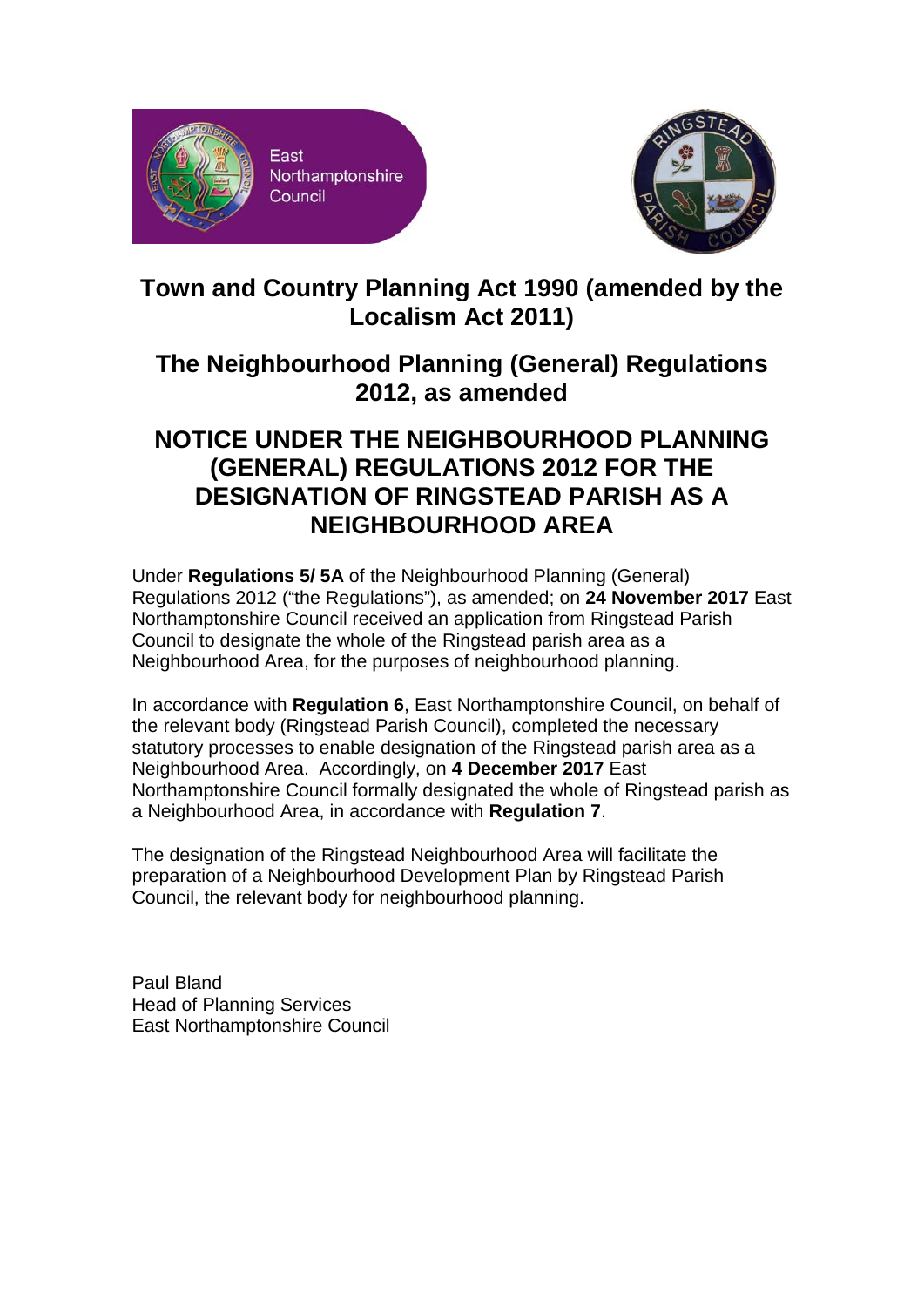



## **Town and Country Planning Act 1990 (amended by the Localism Act 2011)**

## **The Neighbourhood Planning (General) Regulations 2012, as amended**

## **NOTICE UNDER THE NEIGHBOURHOOD PLANNING (GENERAL) REGULATIONS 2012 FOR THE DESIGNATION OF RINGSTEAD PARISH AS A NEIGHBOURHOOD AREA**

Under **Regulations 5/ 5A** of the Neighbourhood Planning (General) Regulations 2012 ("the Regulations"), as amended; on **24 November 2017** East Northamptonshire Council received an application from Ringstead Parish Council to designate the whole of the Ringstead parish area as a Neighbourhood Area, for the purposes of neighbourhood planning.

In accordance with **Regulation 6**, East Northamptonshire Council, on behalf of the relevant body (Ringstead Parish Council), completed the necessary statutory processes to enable designation of the Ringstead parish area as a Neighbourhood Area. Accordingly, on **4 December 2017** East Northamptonshire Council formally designated the whole of Ringstead parish as a Neighbourhood Area, in accordance with **Regulation 7**.

The designation of the Ringstead Neighbourhood Area will facilitate the preparation of a Neighbourhood Development Plan by Ringstead Parish Council, the relevant body for neighbourhood planning.

Paul Bland Head of Planning Services East Northamptonshire Council